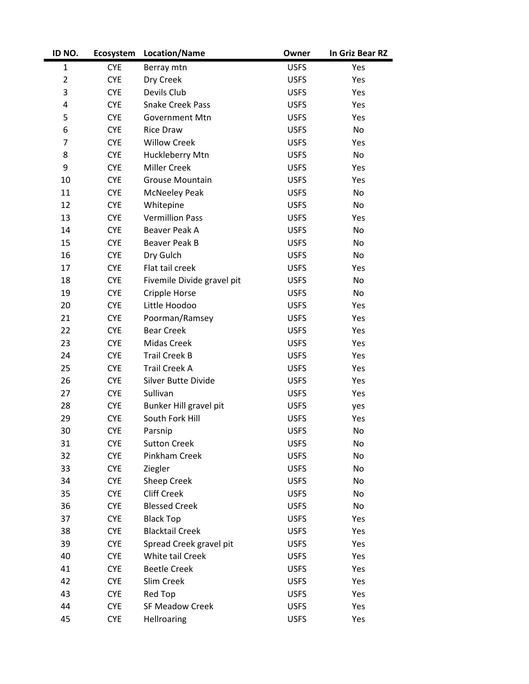| ID NO.         | Ecosystem  | Location/Name              | Owner       | In Griz Bear RZ |
|----------------|------------|----------------------------|-------------|-----------------|
| $\mathbf{1}$   | <b>CYE</b> | Berray mtn                 | <b>USFS</b> | Yes             |
| $\overline{2}$ | <b>CYE</b> | Dry Creek                  | <b>USFS</b> | Yes             |
| 3              | <b>CYE</b> | Devils Club                | <b>USFS</b> | Yes             |
| 4              | <b>CYE</b> | <b>Snake Creek Pass</b>    | <b>USFS</b> | Yes             |
| 5              | <b>CYE</b> | Government Mtn             | <b>USFS</b> | Yes             |
| 6              | <b>CYE</b> | <b>Rice Draw</b>           | <b>USFS</b> | No              |
| 7              | <b>CYE</b> | <b>Willow Creek</b>        | <b>USFS</b> | Yes             |
| 8              | <b>CYE</b> | Huckleberry Mtn            | <b>USFS</b> | No              |
| 9              | <b>CYE</b> | Miller Creek               | <b>USFS</b> | Yes             |
| 10             | <b>CYE</b> | Grouse Mountain            | <b>USFS</b> | Yes             |
| 11             | <b>CYE</b> | <b>McNeeley Peak</b>       | <b>USFS</b> | No              |
| 12             | <b>CYE</b> | Whitepine                  | <b>USFS</b> | No              |
| 13             | <b>CYE</b> | <b>Vermillion Pass</b>     | <b>USFS</b> | Yes             |
| 14             | <b>CYE</b> | Beaver Peak A              | <b>USFS</b> | No              |
| 15             | <b>CYE</b> | Beaver Peak B              | <b>USFS</b> | No              |
| 16             | <b>CYE</b> | Dry Gulch                  | <b>USFS</b> | No              |
| 17             | <b>CYE</b> | Flat tail creek            | <b>USFS</b> | Yes             |
| 18             | <b>CYE</b> | Fivemile Divide gravel pit | <b>USFS</b> | No              |
| 19             | <b>CYE</b> | Cripple Horse              | <b>USFS</b> | No              |
| 20             | <b>CYE</b> | Little Hoodoo              | <b>USFS</b> | Yes             |
| 21             | <b>CYE</b> | Poorman/Ramsey             | <b>USFS</b> | Yes             |
| 22             | <b>CYE</b> | <b>Bear Creek</b>          | <b>USFS</b> | Yes             |
| 23             | <b>CYE</b> | Midas Creek                | <b>USFS</b> | Yes             |
| 24             | <b>CYE</b> | <b>Trail Creek B</b>       | <b>USFS</b> | Yes             |
| 25             | <b>CYE</b> | <b>Trail Creek A</b>       | <b>USFS</b> | Yes             |
| 26             | <b>CYE</b> | Silver Butte Divide        | <b>USFS</b> | Yes             |
| 27             | <b>CYE</b> | Sullivan                   | <b>USFS</b> | Yes             |
| 28             | <b>CYE</b> | Bunker Hill gravel pit     | <b>USFS</b> | yes             |
| 29             | <b>CYE</b> | South Fork Hill            | <b>USFS</b> | Yes             |
| 30             | <b>CYE</b> | Parsnip                    | <b>USFS</b> | No              |
| 31             | <b>CYE</b> | <b>Sutton Creek</b>        | <b>USFS</b> | No              |
| 32             | <b>CYE</b> | Pinkham Creek              | <b>USFS</b> | No              |
| 33             | <b>CYE</b> | Ziegler                    | <b>USFS</b> | No              |
| 34             | <b>CYE</b> | Sheep Creek                | <b>USFS</b> | No              |
| 35             | <b>CYE</b> | <b>Cliff Creek</b>         | <b>USFS</b> | No              |
| 36             | <b>CYE</b> | <b>Blessed Creek</b>       | <b>USFS</b> | No              |
| 37             | <b>CYE</b> | <b>Black Top</b>           | <b>USFS</b> | Yes             |
| 38             | <b>CYE</b> | <b>Blacktail Creek</b>     | <b>USFS</b> | Yes             |
| 39             | <b>CYE</b> | Spread Creek gravel pit    | <b>USFS</b> | Yes             |
| 40             | <b>CYE</b> | White tail Creek           | <b>USFS</b> | Yes             |
| 41             | <b>CYE</b> | <b>Beetle Creek</b>        | <b>USFS</b> | Yes             |
| 42             | <b>CYE</b> | Slim Creek                 | <b>USFS</b> | Yes             |
| 43             | <b>CYE</b> | Red Top                    | <b>USFS</b> | Yes             |
| 44             | <b>CYE</b> | <b>SF Meadow Creek</b>     | <b>USFS</b> | Yes             |
| 45             | <b>CYE</b> | Hellroaring                | <b>USFS</b> | Yes             |